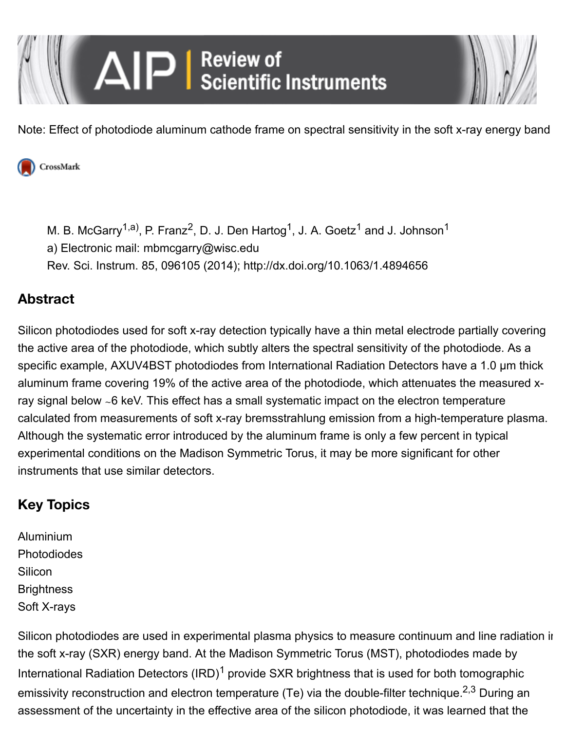

Note: Effect of photodiode aluminum cathode frame on spectral sensitivity in the soft x-ray energy band



[M. B. McGarry](http://scitation.aip.org/content/contributor/AU0953798;jsessionid=4apa5hcbi7a92.x-aip-live-03)<sup>1,a)</sup>, [P. Franz](http://scitation.aip.org/content/contributor/AU0852534;jsessionid=4apa5hcbi7a92.x-aip-live-03)<sup>2</sup>, [D. J. Den Hartog](http://scitation.aip.org/content/contributor/AU0064695;jsessionid=4apa5hcbi7a92.x-aip-live-03)<sup>1</sup>, [J. A. Goetz](http://scitation.aip.org/content/contributor/AU0015976;jsessionid=4apa5hcbi7a92.x-aip-live-03)<sup>1</sup> and [J. Johnson](http://scitation.aip.org/content/contributor/AU0872454;jsessionid=4apa5hcbi7a92.x-aip-live-03)<sup>1</sup> a) Electronic mail: [mbmcgarry@wisc.edu](mailto:mbmcgarry@wisc.edu) Rev. Sci. Instrum. 85, 096105 (2014);<http://dx.doi.org/10.1063/1.4894656>

## **Abstract**

Silicon photodiodes used for soft x-ray detection typically have a thin metal electrode partially covering the active area of the photodiode, which subtly alters the spectral sensitivity of the photodiode. As a specific example, AXUV4BST photodiodes from International Radiation Detectors have a 1.0 µm thick aluminum frame covering 19% of the active area of the photodiode, which attenuates the measured xray signal below ∼6 keV. This effect has a small systematic impact on the electron temperature calculated from measurements of soft x-ray bremsstrahlung emission from a high-temperature plasma. Although the systematic error introduced by the aluminum frame is only a few percent in typical experimental conditions on the Madison Symmetric Torus, it may be more significant for other instruments that use similar detectors.

# **Key Topics**

[Aluminium](http://scitation.aip.org/content/topic/aluminium;jsessionid=4apa5hcbi7a92.x-aip-live-03) [Photodiodes](http://scitation.aip.org/content/topic/photodiodes;jsessionid=4apa5hcbi7a92.x-aip-live-03) **[Silicon](http://scitation.aip.org/content/topic/silicon;jsessionid=4apa5hcbi7a92.x-aip-live-03) [Brightness](http://scitation.aip.org/content/topic/brightness;jsessionid=4apa5hcbi7a92.x-aip-live-03)** [Soft X-rays](http://scitation.aip.org/content/topic/soft-x-rays;jsessionid=4apa5hcbi7a92.x-aip-live-03)

Silicon photodiodes are used in experimental plasma physics to measure continuum and line radiation in the soft x-ray (SXR) energy band. At the Madison Symmetric Torus (MST), photodiodes made by International Radiation Detectors  $\text{(RD)}^1$  $\text{(RD)}^1$  provide SXR brightness that is used for both tomographic emissivity reconstruction and electron temperature (Te) via the double-filter technique.<sup>2,3</sup> During an assessment of the uncertainty in the effective area of the silicon photodiode, it was learned that the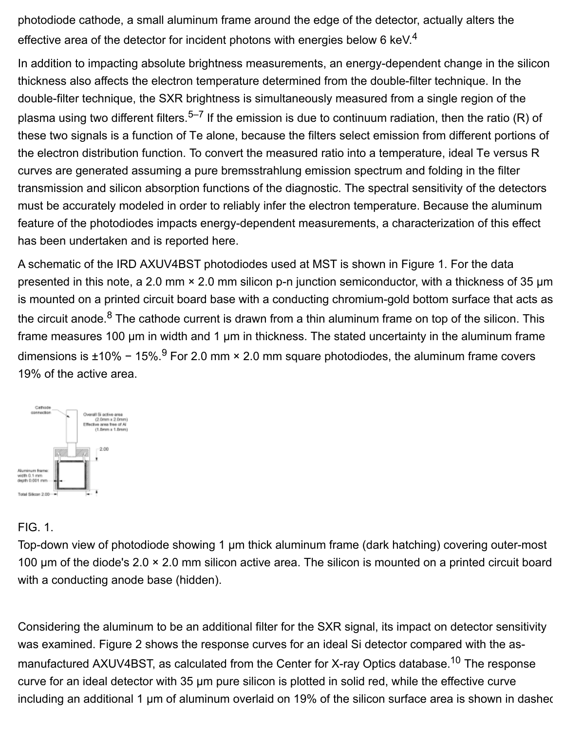photodiode cathode, a small aluminum frame around the edge of the detector, actually alters the effective area of the detector for incident photons with energies below 6 keV.<sup>[4](http://scitation.aip.org/content/aip/journal/rsi/85/9/10.1063/1.4894656#c4)</sup>

In addition to impacting absolute brightness measurements, an energy-dependent change in the silicon thickness also affects the electron temperature determined from the double-filter technique. In the double-filter technique, the SXR brightness is simultaneously measured from a single region of the plasma using two different filters.<sup>[5–7](http://scitation.aip.org/content/aip/journal/rsi/85/9/10.1063/1.4894656#c5)</sup> If the emission is due to continuum radiation, then the ratio (R) of these two signals is a function of Te alone, because the filters select emission from different portions of the electron distribution function. To convert the measured ratio into a temperature, ideal Te versus R curves are generated assuming a pure bremsstrahlung emission spectrum and folding in the filter transmission and silicon absorption functions of the diagnostic. The spectral sensitivity of the detectors must be accurately modeled in order to reliably infer the electron temperature. Because the aluminum feature of the photodiodes impacts energy-dependent measurements, a characterization of this effect has been undertaken and is reported here.

A schematic of the IRD AXUV4BST photodiodes used at MST is shown in Figure [1](http://scitation.aip.org/content/aip/journal/rsi/85/9/10.1063/1.4894656#f1). For the data presented in this note, a 2.0 mm × 2.0 mm silicon p-n junction semiconductor, with a thickness of 35 µm is mounted on a printed circuit board base with a conducting chromium-gold bottom surface that acts as the circuit anode. $8$  The cathode current is drawn from a thin aluminum frame on top of the silicon. This frame measures 100 µm in width and 1 µm in thickness. The stated uncertainty in the aluminum frame dimensions is ±10% − 15%.<sup>[9](http://scitation.aip.org/content/aip/journal/rsi/85/9/10.1063/1.4894656#c9)</sup> For 2.0 mm × 2.0 mm square photodiodes, the aluminum frame covers 19% of the active area.



#### FIG. 1.

Top-down view of photodiode showing 1 µm thick aluminum frame (dark hatching) covering outer-most 100 µm of the diode's 2.0 × 2.0 mm silicon active area. The silicon is mounted on a printed circuit board with a conducting anode base (hidden).

Considering the aluminum to be an additional filter for the SXR signal, its impact on detector sensitivity was examined. Figure [2](http://scitation.aip.org/content/aip/journal/rsi/85/9/10.1063/1.4894656#f2) shows the response curves for an ideal Si detector compared with the asmanufactured AXUV4BST, as calculated from the Center for X-ray Optics database.<sup>10</sup> The response curve for an ideal detector with 35 µm pure silicon is plotted in solid red, while the effective curve including an additional 1 µm of aluminum overlaid on 19% of the silicon surface area is shown in dashed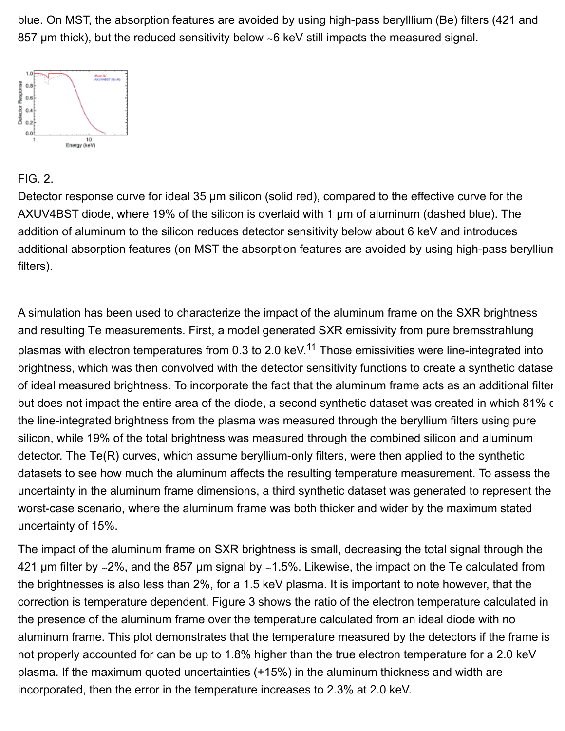blue. On MST, the absorption features are avoided by using high-pass berylllium (Be) filters (421 and 857 µm thick), but the reduced sensitivity below ∼6 keV still impacts the measured signal.



#### FIG. 2.

Detector response curve for ideal 35  $\mu$ m silicon (solid red), compared to the effective curve for the AXUV4BST diode, where 19% of the silicon is overlaid with 1 µm of aluminum (dashed blue). The addition of aluminum to the silicon reduces detector sensitivity below about 6 keV and introduces additional absorption features (on MST the absorption features are avoided by using high-pass beryllium filters).

A simulation has been used to characterize the impact of the aluminum frame on the SXR brightness and resulting Te measurements. First, a model generated SXR emissivity from pure bremsstrahlung plasmas with electron temperatures from 0.3 to 2.0 keV.<sup>11</sup> Those emissivities were line-integrated into brightness, which was then convolved with the detector sensitivity functions to create a synthetic datase of ideal measured brightness. To incorporate the fact that the aluminum frame acts as an additional filter but does not impact the entire area of the diode, a second synthetic dataset was created in which 81% of the line-integrated brightness from the plasma was measured through the beryllium filters using pure silicon, while 19% of the total brightness was measured through the combined silicon and aluminum detector. The Te(R) curves, which assume beryllium-only filters, were then applied to the synthetic datasets to see how much the aluminum affects the resulting temperature measurement. To assess the uncertainty in the aluminum frame dimensions, a third synthetic dataset was generated to represent the worst-case scenario, where the aluminum frame was both thicker and wider by the maximum stated uncertainty of 15%.

The impact of the aluminum frame on SXR brightness is small, decreasing the total signal through the 421 µm filter by ∼2%, and the 857 µm signal by ∼1.5%. Likewise, the impact on the Te calculated from the brightnesses is also less than 2%, for a 1.5 keV plasma. It is important to note however, that the correction is temperature dependent. Figure [3](http://scitation.aip.org/content/aip/journal/rsi/85/9/10.1063/1.4894656#f3) shows the ratio of the electron temperature calculated in the presence of the aluminum frame over the temperature calculated from an ideal diode with no aluminum frame. This plot demonstrates that the temperature measured by the detectors if the frame is not properly accounted for can be up to 1.8% higher than the true electron temperature for a 2.0 keV plasma. If the maximum quoted uncertainties (+15%) in the aluminum thickness and width are incorporated, then the error in the temperature increases to 2.3% at 2.0 keV.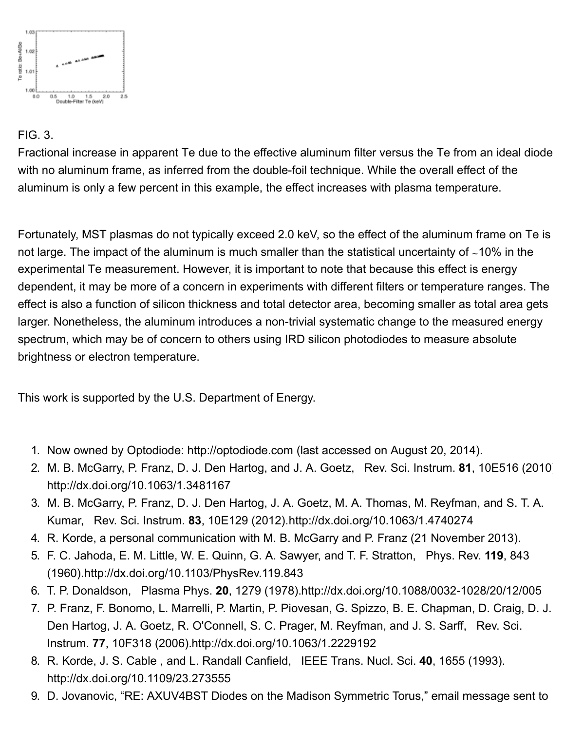

### FIG. 3.

Fractional increase in apparent Te due to the effective aluminum filter versus the Te from an ideal diode with no aluminum frame, as inferred from the double-foil technique. While the overall effect of the aluminum is only a few percent in this example, the effect increases with plasma temperature.

Fortunately, MST plasmas do not typically exceed 2.0 keV, so the effect of the aluminum frame on Te is not large. The impact of the aluminum is much smaller than the statistical uncertainty of ∼10% in the experimental Te measurement. However, it is important to note that because this effect is energy dependent, it may be more of a concern in experiments with different filters or temperature ranges. The effect is also a function of silicon thickness and total detector area, becoming smaller as total area gets larger. Nonetheless, the aluminum introduces a non-trivial systematic change to the measured energy spectrum, which may be of concern to others using IRD silicon photodiodes to measure absolute brightness or electron temperature.

This work is supported by the U.S. Department of Energy.

- 1. Now owned by Optodiode: [http://optodiode.com](http://optodiode.com/) (last accessed on August 20, 2014).
- 2. M. B. McGarry, P. Franz, D. J. Den Hartog, and J. A. Goetz, Rev. Sci. Instrum. **81**, 10E516 (2010). <http://dx.doi.org/10.1063/1.3481167>
- 3. M. B. McGarry, P. Franz, D. J. Den Hartog, J. A. Goetz, M. A. Thomas, M. Reyfman, and S. T. A. Kumar, Rev. Sci. Instrum. **83**, 10E129 (2012)[.http://dx.doi.org/10.1063/1.4740274](http://dx.doi.org/10.1063/1.4740274)
- 4. R. Korde, a personal communication with M. B. McGarry and P. Franz (21 November 2013).
- 5. F. C. Jahoda, E. M. Little, W. E. Quinn, G. A. Sawyer, and T. F. Stratton, Phys. Rev. **119**, 843 (1960)[.http://dx.doi.org/10.1103/PhysRev.119.843](http://dx.doi.org/10.1103/PhysRev.119.843)
- 6. T. P. Donaldson, Plasma Phys. **20**, 1279 (1978)[.http://dx.doi.org/10.1088/0032-1028/20/12/005](http://dx.doi.org/10.1088/0032-1028/20/12/005)
- 7. P. Franz, F. Bonomo, L. Marrelli, P. Martin, P. Piovesan, G. Spizzo, B. E. Chapman, D. Craig, D. J. Den Hartog, J. A. Goetz, R. O'Connell, S. C. Prager, M. Reyfman, and J. S. Sarff, Rev. Sci. Instrum. **77**, 10F318 (2006)[.http://dx.doi.org/10.1063/1.2229192](http://dx.doi.org/10.1063/1.2229192)
- 8. R. Korde, J. S. Cable , and L. Randall Canfield, IEEE Trans. Nucl. Sci. **40**, 1655 (1993). <http://dx.doi.org/10.1109/23.273555>
- 9. D. Jovanovic, "RE: AXUV4BST Diodes on the Madison Symmetric Torus," email message sent to